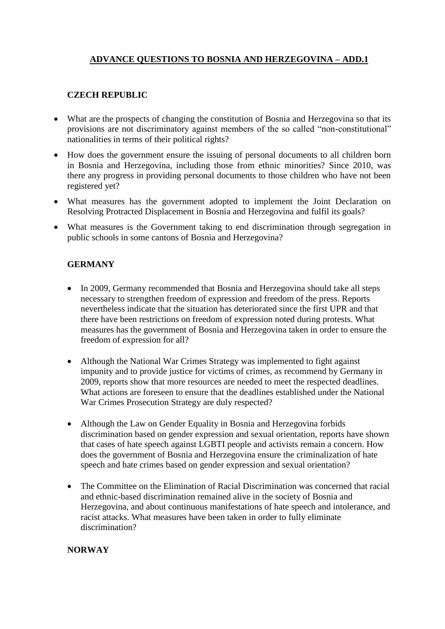## **ADVANCE QUESTIONS TO BOSNIA AND HERZEGOVINA – ADD.1**

## **CZECH REPUBLIC**

- What are the prospects of changing the constitution of Bosnia and Herzegovina so that its provisions are not discriminatory against members of the so called "non-constitutional" nationalities in terms of their political rights?
- How does the government ensure the issuing of personal documents to all children born in Bosnia and Herzegovina, including those from ethnic minorities? Since 2010, was there any progress in providing personal documents to those children who have not been registered yet?
- What measures has the government adopted to implement the Joint Declaration on Resolving Protracted Displacement in Bosnia and Herzegovina and fulfil its goals?
- What measures is the Government taking to end discrimination through segregation in public schools in some cantons of Bosnia and Herzegovina?

## **GERMANY**

- In 2009, Germany recommended that Bosnia and Herzegovina should take all steps necessary to strengthen freedom of expression and freedom of the press. Reports nevertheless indicate that the situation has deteriorated since the first UPR and that there have been restrictions on freedom of expression noted during protests. What measures has the government of Bosnia and Herzegovina taken in order to ensure the freedom of expression for all?
- Although the National War Crimes Strategy was implemented to fight against impunity and to provide justice for victims of crimes, as recommend by Germany in 2009, reports show that more resources are needed to meet the respected deadlines. What actions are foreseen to ensure that the deadlines established under the National War Crimes Prosecution Strategy are duly respected?
- Although the Law on Gender Equality in Bosnia and Herzegovina forbids discrimination based on gender expression and sexual orientation, reports have shown that cases of hate speech against LGBTI people and activists remain a concern. How does the government of Bosnia and Herzegovina ensure the criminalization of hate speech and hate crimes based on gender expression and sexual orientation?
- The Committee on the Elimination of Racial Discrimination was concerned that racial and ethnic-based discrimination remained alive in the society of Bosnia and Herzegovina, and about continuous manifestations of hate speech and intolerance, and racist attacks. What measures have been taken in order to fully eliminate discrimination?

## **NORWAY**